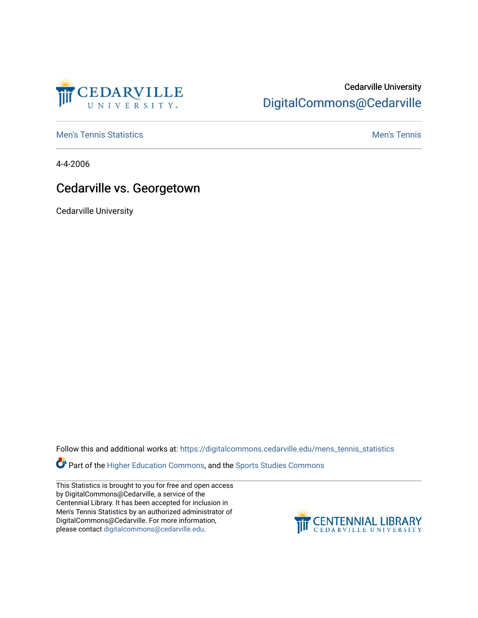

## Cedarville University [DigitalCommons@Cedarville](https://digitalcommons.cedarville.edu/)

**[Men's Tennis Statistics](https://digitalcommons.cedarville.edu/mens_tennis_statistics) Mental According to the Control of Control According Mental Men's Tennis** 

4-4-2006

## Cedarville vs. Georgetown

Cedarville University

Follow this and additional works at: [https://digitalcommons.cedarville.edu/mens\\_tennis\\_statistics](https://digitalcommons.cedarville.edu/mens_tennis_statistics?utm_source=digitalcommons.cedarville.edu%2Fmens_tennis_statistics%2F642&utm_medium=PDF&utm_campaign=PDFCoverPages)

**Part of the [Higher Education Commons,](http://network.bepress.com/hgg/discipline/1245?utm_source=digitalcommons.cedarville.edu%2Fmens_tennis_statistics%2F642&utm_medium=PDF&utm_campaign=PDFCoverPages) and the Sports Studies Commons** 

This Statistics is brought to you for free and open access by DigitalCommons@Cedarville, a service of the Centennial Library. It has been accepted for inclusion in Men's Tennis Statistics by an authorized administrator of DigitalCommons@Cedarville. For more information, please contact [digitalcommons@cedarville.edu](mailto:digitalcommons@cedarville.edu).